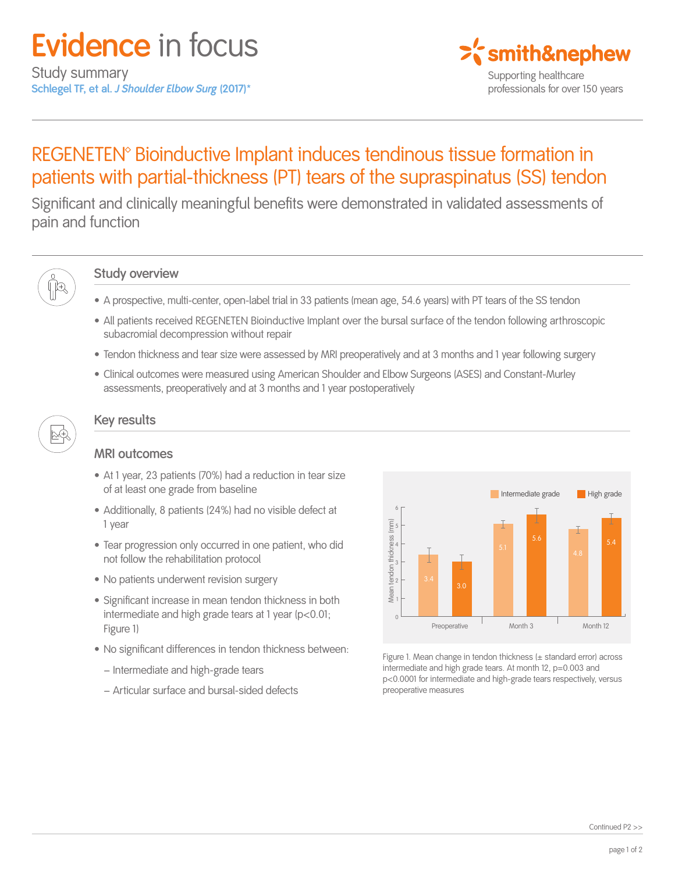

# REGENETEN<sup>®</sup> Bioinductive Implant induces tendinous tissue formation in patients with partial-thickness (PT) tears of the supraspinatus (SS) tendon

Significant and clinically meaningful benefits were demonstrated in validated assessments of pain and function



#### **Study overview**

- A prospective, multi-center, open-label trial in 33 patients (mean age, 54.6 years) with PT tears of the SS tendon
- All patients received REGENETEN Bioinductive Implant over the bursal surface of the tendon following arthroscopic subacromial decompression without repair
- Tendon thickness and tear size were assessed by MRI preoperatively and at 3 months and 1 year following surgery
- Clinical outcomes were measured using American Shoulder and Elbow Surgeons (ASES) and Constant-Murley assessments, preoperatively and at 3 months and 1 year postoperatively



### **Key results**

### **MRI outcomes**

- At 1 year, 23 patients (70%) had a reduction in tear size of at least one grade from baseline
- Additionally, 8 patients (24%) had no visible defect at 1 year
- Tear progression only occurred in one patient, who did not follow the rehabilitation protocol
- No patients underwent revision surgery
- Significant increase in mean tendon thickness in both intermediate and high grade tears at 1 year (p<0.01; Figure 1)
- No significant differences in tendon thickness between:
	- − Intermediate and high-grade tears
	- − Articular surface and bursal-sided defects



Figure 1. Mean change in tendon thickness (± standard error) across intermediate and high grade tears. At month 12, p=0.003 and p<0.0001 for intermediate and high-grade tears respectively, versus